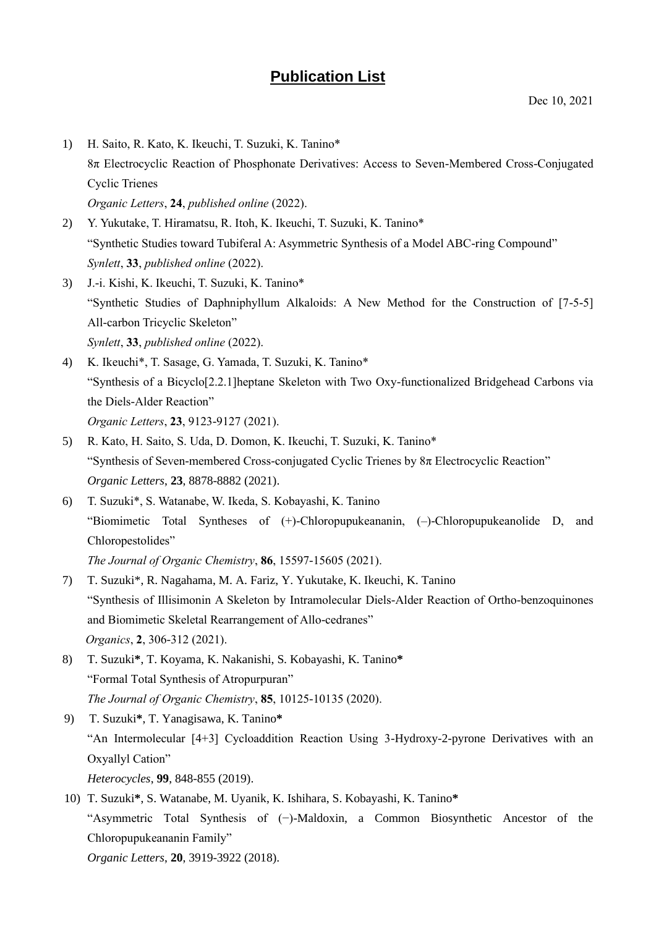## **Publication List**

- 1) H. Saito, R. Kato, K. Ikeuchi, T. Suzuki, K. Tanino\* 8π Electrocyclic Reaction of Phosphonate Derivatives: Access to Seven-Membered Cross-Conjugated Cyclic Trienes *Organic Letters*, **24**, *published online* (2022).
- 2) Y. Yukutake, T. Hiramatsu, R. Itoh, K. Ikeuchi, T. Suzuki, K. Tanino\* "Synthetic Studies toward Tubiferal A: Asymmetric Synthesis of a Model ABC-ring Compound" *Synlett*, **33**, *published online* (2022).
- 3) J.-i. Kishi, K. Ikeuchi, T. Suzuki, K. Tanino\* "Synthetic Studies of Daphniphyllum Alkaloids: A New Method for the Construction of [7-5-5] All-carbon Tricyclic Skeleton" *Synlett*, **33**, *published online* (2022).
- 4) K. Ikeuchi\*, T. Sasage, G. Yamada, T. Suzuki, K. Tanino\* "Synthesis of a Bicyclo[2.2.1]heptane Skeleton with Two Oxy-functionalized Bridgehead Carbons via the Diels-Alder Reaction" *Organic Letters*, **23**, 9123-9127 (2021).
- 5) R. Kato, H. Saito, S. Uda, D. Domon, K. Ikeuchi, T. Suzuki, K. Tanino\* "Synthesis of Seven-membered Cross-conjugated Cyclic Trienes by 8π Electrocyclic Reaction" *Organic Letters*, **23**, 8878-8882 (2021).
- 6) T. Suzuki\*, S. Watanabe, W. Ikeda, S. Kobayashi, K. Tanino "Biomimetic Total Syntheses of (+)-Chloropupukeananin, (–)-Chloropupukeanolide D, and Chloropestolides"
	- *The Journal of Organic Chemistry*, **86**, 15597-15605 (2021).
- 7) T. Suzuki\*, R. Nagahama, M. A. Fariz, Y. Yukutake, K. Ikeuchi, K. Tanino "Synthesis of Illisimonin A Skeleton by Intramolecular Diels-Alder Reaction of Ortho-benzoquinones and Biomimetic Skeletal Rearrangement of Allo-cedranes" *Organics*, **2**, 306-312 (2021).
- 8) T. Suzuki**\***, T. Koyama, K. Nakanishi, S. Kobayashi, K. Tanino**\*** "Formal Total Synthesis of Atropurpuran" *The Journal of Organic Chemistry*, **85**, 10125-10135 (2020).
- 9) T. Suzuki**\***, T. Yanagisawa, K. Tanino**\*** "An Intermolecular [4+3] Cycloaddition Reaction Using 3-Hydroxy-2-pyrone Derivatives with an Oxyallyl Cation" *Heterocycles*, **99**, 848-855 (2019).
- 10) T. Suzuki**\***, S. Watanabe, M. Uyanik, K. Ishihara, S. Kobayashi, K. Tanino**\*** "Asymmetric Total Synthesis of (−)-Maldoxin, a Common Biosynthetic Ancestor of the Chloropupukeananin Family" *Organic Letters*, **20**, 3919-3922 (2018).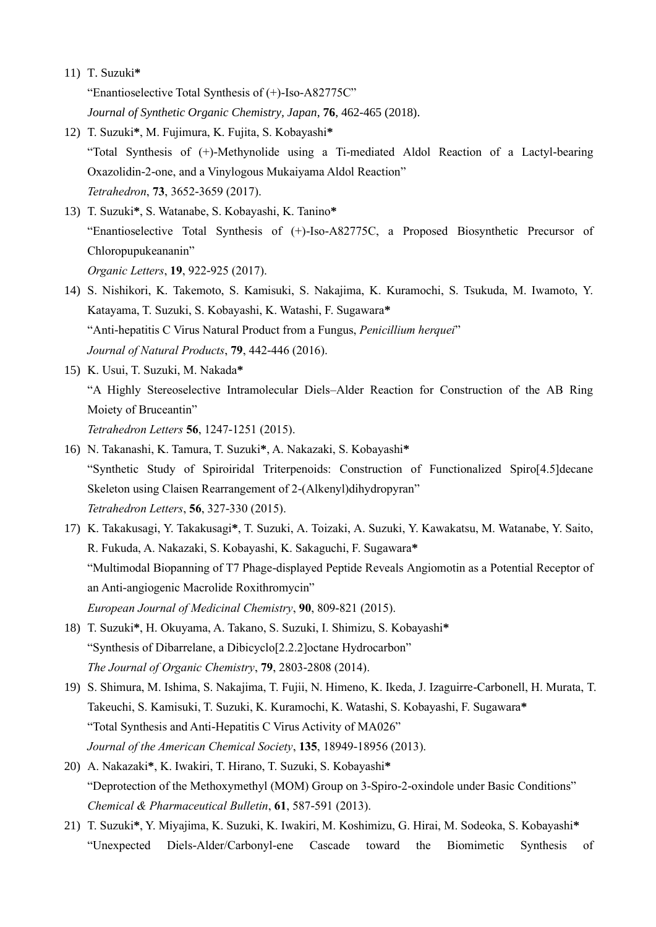## 11) T. Suzuki**\***

"Enantioselective Total Synthesis of (+)-Iso-A82775C"

*Journal of Synthetic Organic Chemistry, Japan*, **76**, 462-465 (2018).

- 12) T. Suzuki**\***, M. Fujimura, K. Fujita, S. Kobayashi**\*** "Total Synthesis of (+)-Methynolide using a Ti-mediated Aldol Reaction of a Lactyl-bearing Oxazolidin-2-one, and a Vinylogous Mukaiyama Aldol Reaction" *Tetrahedron*, **73**, 3652-3659 (2017).
- 13) T. Suzuki**\***, S. Watanabe, S. Kobayashi, K. Tanino**\*** "Enantioselective Total Synthesis of (+)-Iso-A82775C, a Proposed Biosynthetic Precursor of Chloropupukeananin" *Organic Letters*, **19**, 922-925 (2017).
- 14) S. Nishikori, K. Takemoto, S. Kamisuki, S. Nakajima, K. Kuramochi, S. Tsukuda, M. Iwamoto, Y. Katayama, T. Suzuki, S. Kobayashi, K. Watashi, F. Sugawara**\*** "Anti-hepatitis C Virus Natural Product from a Fungus, *Penicillium herquei*" *Journal of Natural Products*, **79**, 442-446 (2016).
- 15) K. Usui, T. Suzuki, M. Nakada**\*** "A Highly Stereoselective Intramolecular Diels–Alder Reaction for Construction of the AB Ring Moiety of Bruceantin" *Tetrahedron Letters* **56**, 1247-1251 (2015).
- 16) N. Takanashi, K. Tamura, T. Suzuki**\***, A. Nakazaki, S. Kobayashi**\*** "Synthetic Study of Spiroiridal Triterpenoids: Construction of Functionalized Spiro[4.5]decane Skeleton using Claisen Rearrangement of 2-(Alkenyl)dihydropyran" *Tetrahedron Letters*, **56**, 327-330 (2015).
- 17) K. Takakusagi, Y. Takakusagi**\***, T. Suzuki, A. Toizaki, A. Suzuki, Y. Kawakatsu, M. Watanabe, Y. Saito, R. Fukuda, A. Nakazaki, S. Kobayashi, K. Sakaguchi, F. Sugawara**\*** "Multimodal Biopanning of T7 Phage-displayed Peptide Reveals Angiomotin as a Potential Receptor of an Anti-angiogenic Macrolide Roxithromycin" *European Journal of Medicinal Chemistry*, **90**, 809-821 (2015).
- 18) T. Suzuki**\***, H. Okuyama, A. Takano, S. Suzuki, I. Shimizu, S. Kobayashi**\*** "Synthesis of Dibarrelane, a Dibicyclo[2.2.2]octane Hydrocarbon" *The Journal of Organic Chemistry*, **79**, 2803-2808 (2014).
- 19) S. Shimura, M. Ishima, S. Nakajima, T. Fujii, N. Himeno, K. Ikeda, J. Izaguirre-Carbonell, H. Murata, T. Takeuchi, S. Kamisuki, T. Suzuki, K. Kuramochi, K. Watashi, S. Kobayashi, F. Sugawara**\*** "Total Synthesis and Anti-Hepatitis C Virus Activity of MA026" *Journal of the American Chemical Society*, **135**, 18949-18956 (2013).
- 20) A. Nakazaki**\***, K. Iwakiri, T. Hirano, T. Suzuki, S. Kobayashi**\*** "Deprotection of the Methoxymethyl (MOM) Group on 3-Spiro-2-oxindole under Basic Conditions" *Chemical & Pharmaceutical Bulletin*, **61**, 587-591 (2013).
- 21) T. Suzuki**\***, Y. Miyajima, K. Suzuki, K. Iwakiri, M. Koshimizu, G. Hirai, M. Sodeoka, S. Kobayashi**\*** "Unexpected Diels-Alder/Carbonyl-ene Cascade toward the Biomimetic Synthesis of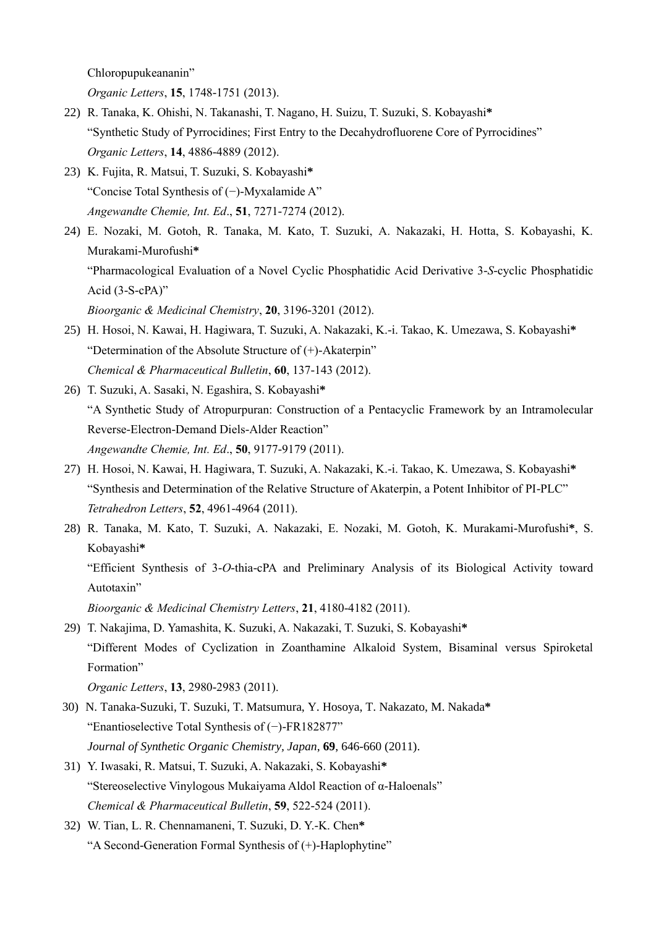Chloropupukeananin"

*Organic Letters*, **15**, 1748-1751 (2013).

- 22) R. Tanaka, K. Ohishi, N. Takanashi, T. Nagano, H. Suizu, T. Suzuki, S. Kobayashi**\*** "Synthetic Study of Pyrrocidines; First Entry to the Decahydrofluorene Core of Pyrrocidines" *Organic Letters*, **14**, 4886-4889 (2012).
- 23) K. Fujita, R. Matsui, T. Suzuki, S. Kobayashi**\*** "Concise Total Synthesis of (−)-Myxalamide A" *Angewandte Chemie, Int. Ed*., **51**, 7271-7274 (2012).
- 24) E. Nozaki, M. Gotoh, R. Tanaka, M. Kato, T. Suzuki, A. Nakazaki, H. Hotta, S. Kobayashi, K. Murakami-Murofushi**\*** "Pharmacological Evaluation of a Novel Cyclic Phosphatidic Acid Derivative 3-*S*-cyclic Phosphatidic

Acid (3-S-cPA)"

*Bioorganic & Medicinal Chemistry*, **20**, 3196-3201 (2012).

- 25) H. Hosoi, N. Kawai, H. Hagiwara, T. Suzuki, A. Nakazaki, K.-i. Takao, K. Umezawa, S. Kobayashi**\*** "Determination of the Absolute Structure of (+)-Akaterpin" *Chemical & Pharmaceutical Bulletin*, **60**, 137-143 (2012).
- 26) T. Suzuki, A. Sasaki, N. Egashira, S. Kobayashi**\*** "A Synthetic Study of Atropurpuran: Construction of a Pentacyclic Framework by an Intramolecular Reverse-Electron-Demand Diels-Alder Reaction" *Angewandte Chemie, Int. Ed*., **50**, 9177-9179 (2011).
- 27) H. Hosoi, N. Kawai, H. Hagiwara, T. Suzuki, A. Nakazaki, K.-i. Takao, K. Umezawa, S. Kobayashi**\*** "Synthesis and Determination of the Relative Structure of Akaterpin, a Potent Inhibitor of PI-PLC" *Tetrahedron Letters*, **52**, 4961-4964 (2011).
- 28) R. Tanaka, M. Kato, T. Suzuki, A. Nakazaki, E. Nozaki, M. Gotoh, K. Murakami-Murofushi**\***, S. Kobayashi**\*** "Efficient Synthesis of 3-*O*-thia-cPA and Preliminary Analysis of its Biological Activity toward Autotaxin"

*Bioorganic & Medicinal Chemistry Letters*, **21**, 4180-4182 (2011).

29) T. Nakajima, D. Yamashita, K. Suzuki, A. Nakazaki, T. Suzuki, S. Kobayashi**\*** "Different Modes of Cyclization in Zoanthamine Alkaloid System, Bisaminal versus Spiroketal Formation"

*Organic Letters*, **13**, 2980-2983 (2011).

- 30) N. Tanaka-Suzuki, T. Suzuki, T. Matsumura, Y. Hosoya, T. Nakazato, M. Nakada**\*** "Enantioselective Total Synthesis of (−)-FR182877" *Journal of Synthetic Organic Chemistry, Japan*, **69**, 646-660 (2011).
- 31) Y. Iwasaki, R. Matsui, T. Suzuki, A. Nakazaki, S. Kobayashi**\*** "Stereoselective Vinylogous Mukaiyama Aldol Reaction of α-Haloenals" *Chemical & Pharmaceutical Bulletin*, **59**, 522-524 (2011).
- 32) W. Tian, L. R. Chennamaneni, T. Suzuki, D. Y.-K. Chen**\*** "A Second-Generation Formal Synthesis of (+)-Haplophytine"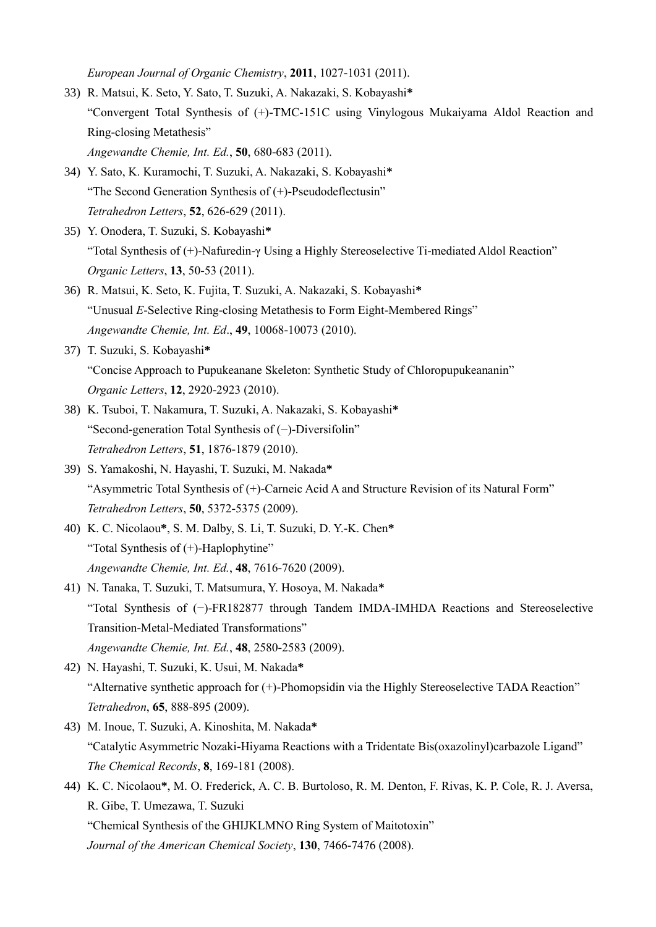*European Journal of Organic Chemistry*, **2011**, 1027-1031 (2011).

- 33) R. Matsui, K. Seto, Y. Sato, T. Suzuki, A. Nakazaki, S. Kobayashi**\*** "Convergent Total Synthesis of (+)-TMC-151C using Vinylogous Mukaiyama Aldol Reaction and Ring-closing Metathesis" *Angewandte Chemie, Int. Ed.*, **50**, 680-683 (2011).
- 34) Y. Sato, K. Kuramochi, T. Suzuki, A. Nakazaki, S. Kobayashi**\*** "The Second Generation Synthesis of (+)-Pseudodeflectusin" *Tetrahedron Letters*, **52**, 626-629 (2011).
- 35) Y. Onodera, T. Suzuki, S. Kobayashi**\*** "Total Synthesis of (+)-Nafuredin-γ Using a Highly Stereoselective Ti-mediated Aldol Reaction" *Organic Letters*, **13**, 50-53 (2011).
- 36) R. Matsui, K. Seto, K. Fujita, T. Suzuki, A. Nakazaki, S. Kobayashi**\*** "Unusual *E*-Selective Ring-closing Metathesis to Form Eight-Membered Rings" *Angewandte Chemie, Int. Ed*., **49**, 10068-10073 (2010).
- 37) T. Suzuki, S. Kobayashi**\*** "Concise Approach to Pupukeanane Skeleton: Synthetic Study of Chloropupukeananin" *Organic Letters*, **12**, 2920-2923 (2010).
- 38) K. Tsuboi, T. Nakamura, T. Suzuki, A. Nakazaki, S. Kobayashi**\*** "Second-generation Total Synthesis of (−)-Diversifolin" *Tetrahedron Letters*, **51**, 1876-1879 (2010).
- 39) S. Yamakoshi, N. Hayashi, T. Suzuki, M. Nakada**\*** "Asymmetric Total Synthesis of (+)-Carneic Acid A and Structure Revision of its Natural Form" *Tetrahedron Letters*, **50**, 5372-5375 (2009).
- 40) K. C. Nicolaou**\***, S. M. Dalby, S. Li, T. Suzuki, D. Y.-K. Chen**\*** "Total Synthesis of (+)-Haplophytine" *Angewandte Chemie, Int. Ed.*, **48**, 7616-7620 (2009).
- 41) N. Tanaka, T. Suzuki, T. Matsumura, Y. Hosoya, M. Nakada**\*** "Total Synthesis of (−)-FR182877 through Tandem IMDA-IMHDA Reactions and Stereoselective Transition-Metal-Mediated Transformations" *Angewandte Chemie, Int. Ed.*, **48**, 2580-2583 (2009).
- 42) N. Hayashi, T. Suzuki, K. Usui, M. Nakada**\*** "Alternative synthetic approach for (+)-Phomopsidin via the Highly Stereoselective TADA Reaction" *Tetrahedron*, **65**, 888-895 (2009).
- 43) M. Inoue, T. Suzuki, A. Kinoshita, M. Nakada**\*** "Catalytic Asymmetric Nozaki-Hiyama Reactions with a Tridentate Bis(oxazolinyl)carbazole Ligand" *The Chemical Records*, **8**, 169-181 (2008).
- 44) K. C. Nicolaou**\***, M. O. Frederick, A. C. B. Burtoloso, R. M. Denton, F. Rivas, K. P. Cole, R. J. Aversa, R. Gibe, T. Umezawa, T. Suzuki "Chemical Synthesis of the GHIJKLMNO Ring System of Maitotoxin" *Journal of the American Chemical Society*, **130**, 7466-7476 (2008).